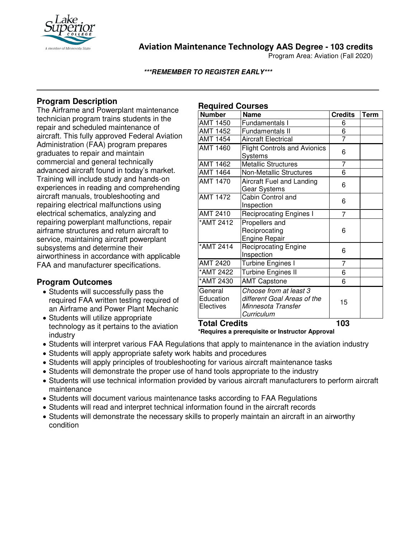

**Aviation Maintenance Technology AAS Degree - 103 credits**

Program Area: Aviation (Fall 2020)

**\*\*\*REMEMBER TO REGISTER EARLY\*\*\***

### **Program Description**

The Airframe and Powerplant maintenance technician program trains students in the repair and scheduled maintenance of aircraft. This fully approved Federal Aviation Administration (FAA) program prepares graduates to repair and maintain commercial and general technically advanced aircraft found in today's market. Training will include study and hands-on experiences in reading and comprehending aircraft manuals, troubleshooting and repairing electrical malfunctions using electrical schematics, analyzing and repairing powerplant malfunctions, repair airframe structures and return aircraft to service, maintaining aircraft powerplant subsystems and determine their airworthiness in accordance with applicable FAA and manufacturer specifications.

#### **Program Outcomes**

- Students will successfully pass the required FAA written testing required of an Airframe and Power Plant Mechanic
- Students will utilize appropriate technology as it pertains to the aviation industry

#### **Required Courses**

| <b>Number</b>                     | <b>Name</b>                                                                               | <b>Credits</b> | <b>Term</b> |
|-----------------------------------|-------------------------------------------------------------------------------------------|----------------|-------------|
| <b>AMT 1450</b>                   | Fundamentals I                                                                            | 6              |             |
| <b>AMT 1452</b>                   | <b>Fundamentals II</b>                                                                    | 6              |             |
| <b>AMT 1454</b>                   | <b>Aircraft Electrical</b>                                                                | $\overline{7}$ |             |
| <b>AMT 1460</b>                   | <b>Flight Controls and Avionics</b><br>Systems                                            | 6              |             |
| <b>AMT 1462</b>                   | <b>Metallic Structures</b>                                                                | 7              |             |
| <b>AMT 1464</b>                   | <b>Non-Metallic Structures</b>                                                            | $\overline{6}$ |             |
| <b>AMT 1470</b>                   | Aircraft Fuel and Landing<br>Gear Systems                                                 | 6              |             |
| <b>AMT 1472</b>                   | Cabin Control and<br>Inspection                                                           | 6              |             |
| AMT 2410                          | <b>Reciprocating Engines I</b>                                                            | 7              |             |
| *AMT 2412                         | Propellers and<br>Reciprocating<br><b>Engine Repair</b>                                   | 6              |             |
| *AMT 2414                         | <b>Reciprocating Engine</b><br>Inspection                                                 | 6              |             |
| <b>AMT 2420</b>                   | Turbine Engines I                                                                         | $\overline{7}$ |             |
| *AMT 2422                         | <b>Turbine Engines II</b>                                                                 | 6              |             |
| *AMT 2430                         | <b>AMT Capstone</b>                                                                       | 6              |             |
| General<br>Education<br>Electives | Choose from at least 3<br>different Goal Areas of the<br>Minnesota Transfer<br>Curriculum | 15             |             |
| <b>Total Credits</b>              |                                                                                           | 103            |             |

**\*Requires a prerequisite or Instructor Approval**

- Students will interpret various FAA Regulations that apply to maintenance in the aviation industry
- Students will apply appropriate safety work habits and procedures
- Students will apply principles of troubleshooting for various aircraft maintenance tasks
- Students will demonstrate the proper use of hand tools appropriate to the industry
- Students will use technical information provided by various aircraft manufacturers to perform aircraft maintenance
- Students will document various maintenance tasks according to FAA Regulations
- Students will read and interpret technical information found in the aircraft records
- Students will demonstrate the necessary skills to properly maintain an aircraft in an airworthy condition